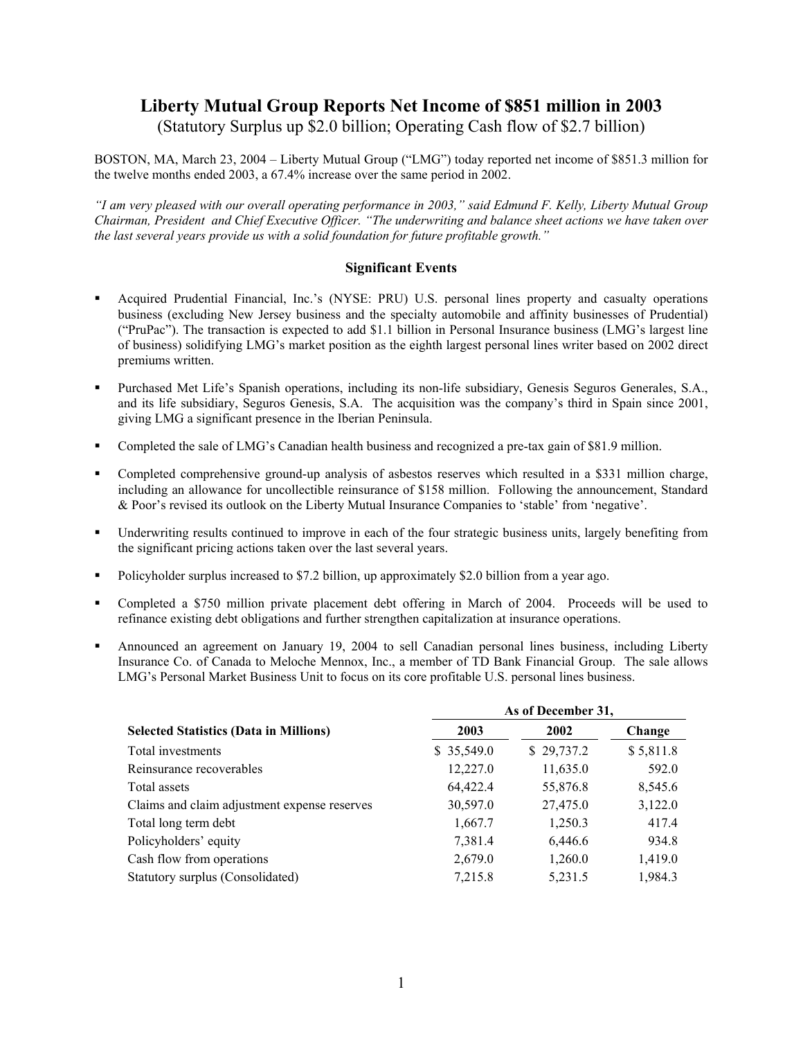## **Liberty Mutual Group Reports Net Income of \$851 million in 2003**

(Statutory Surplus up \$2.0 billion; Operating Cash flow of \$2.7 billion)

BOSTON, MA, March 23, 2004 – Liberty Mutual Group ("LMG") today reported net income of \$851.3 million for the twelve months ended 2003, a 67.4% increase over the same period in 2002.

*"I am very pleased with our overall operating performance in 2003," said Edmund F. Kelly, Liberty Mutual Group Chairman, President and Chief Executive Officer. "The underwriting and balance sheet actions we have taken over the last several years provide us with a solid foundation for future profitable growth."* 

## **Significant Events**

- Acquired Prudential Financial, Inc.'s (NYSE: PRU) U.S. personal lines property and casualty operations business (excluding New Jersey business and the specialty automobile and affinity businesses of Prudential) ("PruPac"). The transaction is expected to add \$1.1 billion in Personal Insurance business (LMG's largest line of business) solidifying LMG's market position as the eighth largest personal lines writer based on 2002 direct premiums written.
- Purchased Met Life's Spanish operations, including its non-life subsidiary, Genesis Seguros Generales, S.A., and its life subsidiary, Seguros Genesis, S.A. The acquisition was the company's third in Spain since 2001, giving LMG a significant presence in the Iberian Peninsula.
- Completed the sale of LMG's Canadian health business and recognized a pre-tax gain of \$81.9 million.
- Completed comprehensive ground-up analysis of asbestos reserves which resulted in a \$331 million charge, including an allowance for uncollectible reinsurance of \$158 million. Following the announcement, Standard & Poor's revised its outlook on the Liberty Mutual Insurance Companies to 'stable' from 'negative'.
- Underwriting results continued to improve in each of the four strategic business units, largely benefiting from the significant pricing actions taken over the last several years.
- Policyholder surplus increased to \$7.2 billion, up approximately \$2.0 billion from a year ago.
- Completed a \$750 million private placement debt offering in March of 2004. Proceeds will be used to refinance existing debt obligations and further strengthen capitalization at insurance operations.
- Announced an agreement on January 19, 2004 to sell Canadian personal lines business, including Liberty Insurance Co. of Canada to Meloche Mennox, Inc., a member of TD Bank Financial Group. The sale allows LMG's Personal Market Business Unit to focus on its core profitable U.S. personal lines business.

|                                               | As of December 31, |            |           |  |  |
|-----------------------------------------------|--------------------|------------|-----------|--|--|
| <b>Selected Statistics (Data in Millions)</b> | 2003               | 2002       | Change    |  |  |
| Total investments                             | \$35,549.0         | \$29,737.2 | \$5,811.8 |  |  |
| Reinsurance recoverables                      | 12,227.0           | 11,635.0   | 592.0     |  |  |
| Total assets                                  | 64,422.4           | 55,876.8   | 8,545.6   |  |  |
| Claims and claim adjustment expense reserves  | 30,597.0           | 27,475.0   | 3,122.0   |  |  |
| Total long term debt                          | 1,667.7            | 1,250.3    | 417.4     |  |  |
| Policyholders' equity                         | 7,381.4            | 6,446.6    | 934.8     |  |  |
| Cash flow from operations                     | 2,679.0            | 1,260.0    | 1,419.0   |  |  |
| Statutory surplus (Consolidated)              | 7,215.8            | 5,231.5    | 1,984.3   |  |  |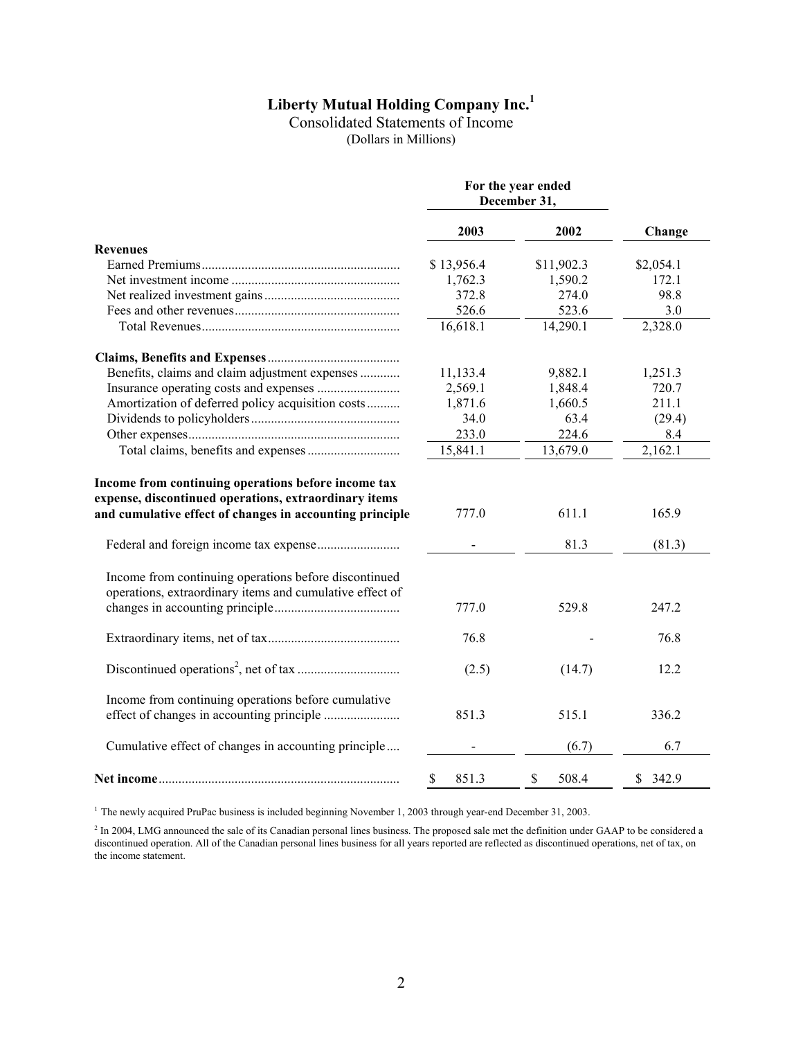# **Liberty Mutual Holding Company Inc.1**

Consolidated Statements of Income

(Dollars in Millions)

|                                                                                                                   | For the year ended<br>December 31, |             |           |  |
|-------------------------------------------------------------------------------------------------------------------|------------------------------------|-------------|-----------|--|
|                                                                                                                   | 2003                               | 2002        | Change    |  |
| <b>Revenues</b>                                                                                                   |                                    |             |           |  |
|                                                                                                                   | \$13,956.4                         | \$11,902.3  | \$2,054.1 |  |
|                                                                                                                   | 1,762.3                            | 1,590.2     | 172.1     |  |
|                                                                                                                   | 372.8                              | 274.0       | 98.8      |  |
|                                                                                                                   | 526.6                              | 523.6       | 3.0       |  |
|                                                                                                                   | 16,618.1                           | 14,290.1    | 2,328.0   |  |
|                                                                                                                   |                                    |             |           |  |
| Benefits, claims and claim adjustment expenses                                                                    | 11,133.4                           | 9,882.1     | 1,251.3   |  |
|                                                                                                                   | 2,569.1                            | 1,848.4     | 720.7     |  |
| Amortization of deferred policy acquisition costs                                                                 | 1,871.6                            | 1,660.5     | 211.1     |  |
|                                                                                                                   | 34.0                               | 63.4        | (29.4)    |  |
|                                                                                                                   | 233.0                              | 224.6       | 8.4       |  |
|                                                                                                                   | 15,841.1                           | 13,679.0    | 2,162.1   |  |
| expense, discontinued operations, extraordinary items<br>and cumulative effect of changes in accounting principle | 777.0                              | 611.1       | 165.9     |  |
|                                                                                                                   |                                    | 81.3        | (81.3)    |  |
| Income from continuing operations before discontinued<br>operations, extraordinary items and cumulative effect of |                                    |             |           |  |
|                                                                                                                   | 777.0                              | 529.8       | 247.2     |  |
|                                                                                                                   | 76.8                               |             | 76.8      |  |
|                                                                                                                   | (2.5)                              | (14.7)      | 12.2      |  |
| Income from continuing operations before cumulative                                                               | 851.3                              | 515.1       | 336.2     |  |
| Cumulative effect of changes in accounting principle                                                              |                                    | (6.7)       | 6.7       |  |
|                                                                                                                   | \$<br>851.3                        | \$<br>508.4 | \$342.9   |  |

<sup>1</sup> The newly acquired PruPac business is included beginning November 1, 2003 through year-end December 31, 2003.

 $<sup>2</sup>$  In 2004, LMG announced the sale of its Canadian personal lines business. The proposed sale met the definition under GAAP to be considered a</sup> discontinued operation. All of the Canadian personal lines business for all years reported are reflected as discontinued operations, net of tax, on the income statement.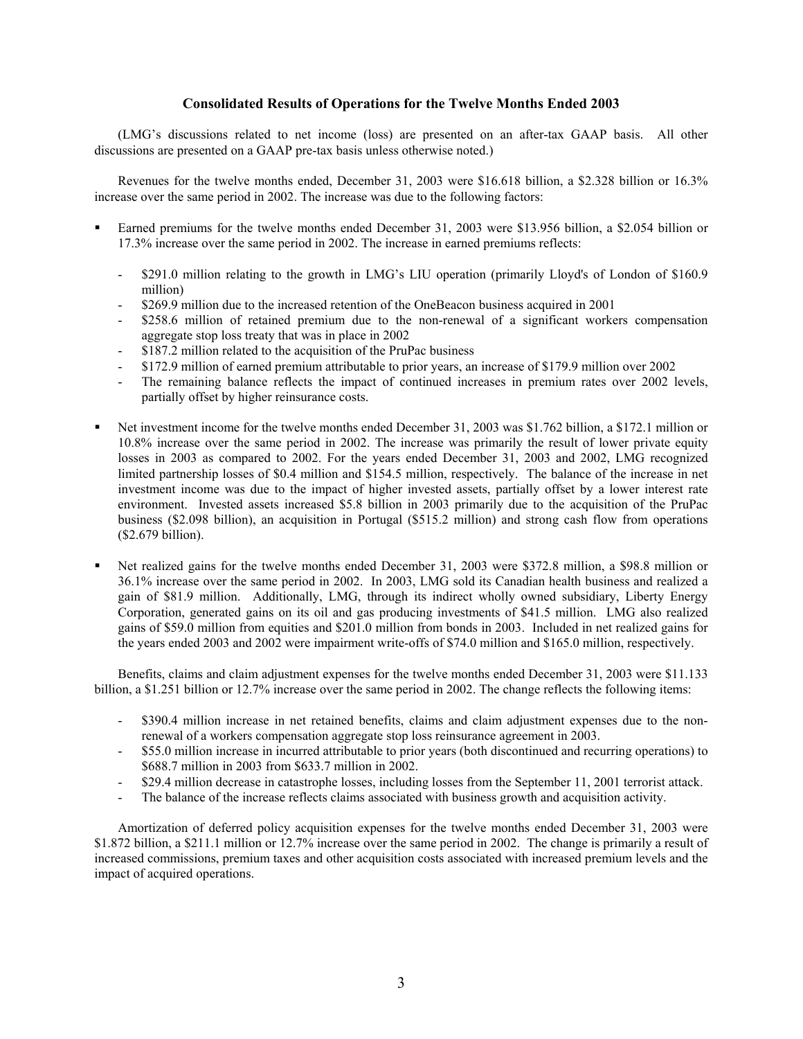## **Consolidated Results of Operations for the Twelve Months Ended 2003**

(LMG's discussions related to net income (loss) are presented on an after-tax GAAP basis. All other discussions are presented on a GAAP pre-tax basis unless otherwise noted.)

Revenues for the twelve months ended, December 31, 2003 were \$16.618 billion, a \$2.328 billion or 16.3% increase over the same period in 2002. The increase was due to the following factors:

- Earned premiums for the twelve months ended December 31, 2003 were \$13.956 billion, a \$2.054 billion or 17.3% increase over the same period in 2002. The increase in earned premiums reflects:
	- \$291.0 million relating to the growth in LMG's LIU operation (primarily Lloyd's of London of \$160.9 million)
	- \$269.9 million due to the increased retention of the OneBeacon business acquired in 2001
	- \$258.6 million of retained premium due to the non-renewal of a significant workers compensation aggregate stop loss treaty that was in place in 2002
	- \$187.2 million related to the acquisition of the PruPac business
	- \$172.9 million of earned premium attributable to prior years, an increase of \$179.9 million over 2002
	- The remaining balance reflects the impact of continued increases in premium rates over 2002 levels, partially offset by higher reinsurance costs.
- Net investment income for the twelve months ended December 31, 2003 was \$1.762 billion, a \$172.1 million or 10.8% increase over the same period in 2002. The increase was primarily the result of lower private equity losses in 2003 as compared to 2002. For the years ended December 31, 2003 and 2002, LMG recognized limited partnership losses of \$0.4 million and \$154.5 million, respectively. The balance of the increase in net investment income was due to the impact of higher invested assets, partially offset by a lower interest rate environment. Invested assets increased \$5.8 billion in 2003 primarily due to the acquisition of the PruPac business (\$2.098 billion), an acquisition in Portugal (\$515.2 million) and strong cash flow from operations (\$2.679 billion).
- Net realized gains for the twelve months ended December 31, 2003 were \$372.8 million, a \$98.8 million or 36.1% increase over the same period in 2002. In 2003, LMG sold its Canadian health business and realized a gain of \$81.9 million. Additionally, LMG, through its indirect wholly owned subsidiary, Liberty Energy Corporation, generated gains on its oil and gas producing investments of \$41.5 million. LMG also realized gains of \$59.0 million from equities and \$201.0 million from bonds in 2003. Included in net realized gains for the years ended 2003 and 2002 were impairment write-offs of \$74.0 million and \$165.0 million, respectively.

Benefits, claims and claim adjustment expenses for the twelve months ended December 31, 2003 were \$11.133 billion, a \$1.251 billion or 12.7% increase over the same period in 2002. The change reflects the following items:

- \$390.4 million increase in net retained benefits, claims and claim adjustment expenses due to the nonrenewal of a workers compensation aggregate stop loss reinsurance agreement in 2003.
- \$55.0 million increase in incurred attributable to prior years (both discontinued and recurring operations) to \$688.7 million in 2003 from \$633.7 million in 2002.
- \$29.4 million decrease in catastrophe losses, including losses from the September 11, 2001 terrorist attack.
- The balance of the increase reflects claims associated with business growth and acquisition activity.

Amortization of deferred policy acquisition expenses for the twelve months ended December 31, 2003 were \$1.872 billion, a \$211.1 million or 12.7% increase over the same period in 2002. The change is primarily a result of increased commissions, premium taxes and other acquisition costs associated with increased premium levels and the impact of acquired operations.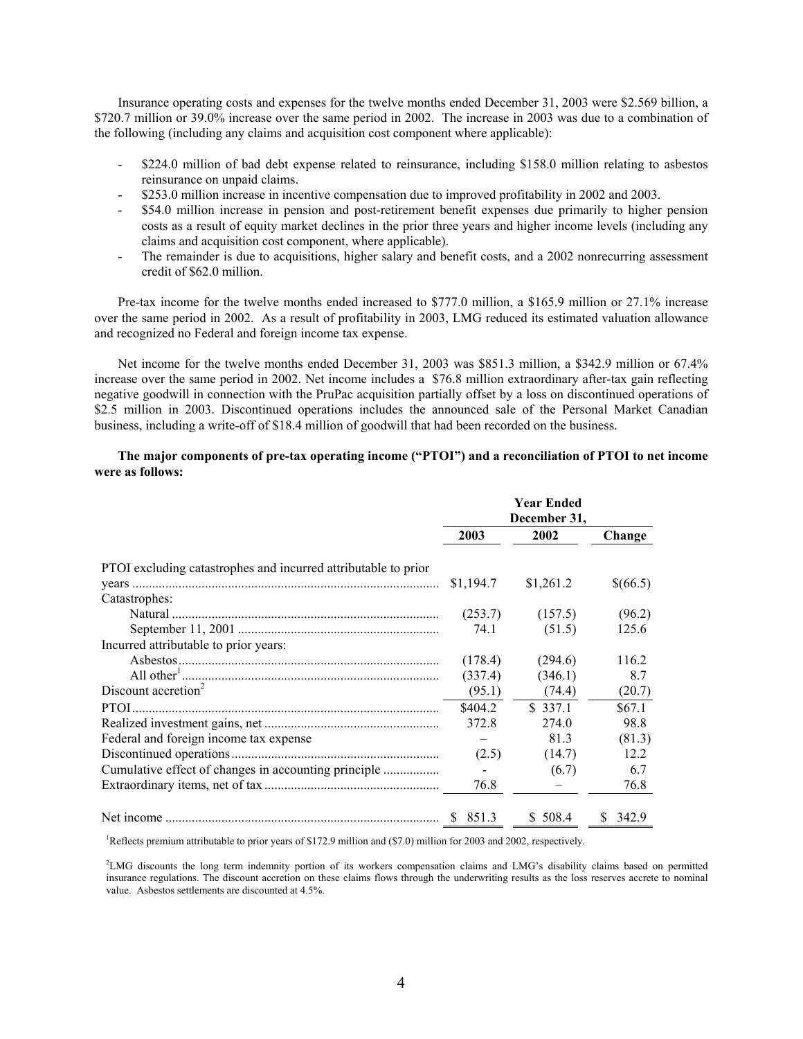Insurance operating costs and expenses for the twelve months ended December 31, 2003 were \$2.569 billion, a \$720.7 million or 39.0% increase over the same period in 2002. The increase in 2003 was due to a combination of the following (including any claims and acquisition cost component where applicable):

- \$224.0 million of bad debt expense related to reinsurance, including \$158.0 million relating to asbestos reinsurance on unpaid claims.
- \$253.0 million increase in incentive compensation due to improved profitability in 2002 and 2003.
- \$54.0 million increase in pension and post-retirement benefit expenses due primarily to higher pension costs as a result of equity market declines in the prior three years and higher income levels (including any claims and acquisition cost component, where applicable).
- The remainder is due to acquisitions, higher salary and benefit costs, and a 2002 nonrecurring assessment credit of \$62.0 million.

Pre-tax income for the twelve months ended increased to \$777.0 million, a \$165.9 million or 27.1% increase over the same period in 2002. As a result of profitability in 2003, LMG reduced its estimated valuation allowance and recognized no Federal and foreign income tax expense.

Net income for the twelve months ended December 31, 2003 was \$851.3 million, a \$342.9 million or 67.4% increase over the same period in 2002. Net income includes a \$76.8 million extraordinary after-tax gain reflecting negative goodwill in connection with the PruPac acquisition partially offset by a loss on discontinued operations of \$2.5 million in 2003. Discontinued operations includes the announced sale of the Personal Market Canadian business, including a write-off of \$18.4 million of goodwill that had been recorded on the business.

## **The major components of pre-tax operating income ("PTOI") and a reconciliation of PTOI to net income were as follows:**

|                                                                | <b>Year Ended</b><br>December 31, |           |             |  |
|----------------------------------------------------------------|-----------------------------------|-----------|-------------|--|
|                                                                | 2003                              | 2002      | Change      |  |
| PTOI excluding catastrophes and incurred attributable to prior |                                   |           |             |  |
|                                                                | \$1,194.7                         | \$1,261.2 | \$(66.5)    |  |
| Catastrophes:                                                  |                                   |           |             |  |
|                                                                | (253.7)                           | (157.5)   | (96.2)      |  |
|                                                                | 74.1                              | (51.5)    | 125.6       |  |
| Incurred attributable to prior years:                          |                                   |           |             |  |
|                                                                | (178.4)                           | (294.6)   | 116.2       |  |
|                                                                | (337.4)                           | (346.1)   | 8.7         |  |
| Discount accretion <sup>2</sup>                                | (95.1)                            | (74.4)    | (20.7)      |  |
|                                                                | \$404.2                           | \$337.1   | \$67.1      |  |
|                                                                | 372.8                             | 274.0     | 98.8        |  |
| Federal and foreign income tax expense                         |                                   | 81.3      | (81.3)      |  |
|                                                                | (2.5)                             | (14.7)    | 12.2        |  |
|                                                                |                                   | (6.7)     | 6.7         |  |
|                                                                | 76.8                              |           | 76.8        |  |
|                                                                | \$.<br>851.3                      | \$508.4   | S.<br>342.9 |  |

Reflects premium attributable to prior years of \$172.9 million and (\$7.0) million for 2003 and 2002, respectively.

2 LMG discounts the long term indemnity portion of its workers compensation claims and LMG's disability claims based on permitted insurance regulations. The discount accretion on these claims flows through the underwriting results as the loss reserves accrete to nominal value. Asbestos settlements are discounted at 4.5%.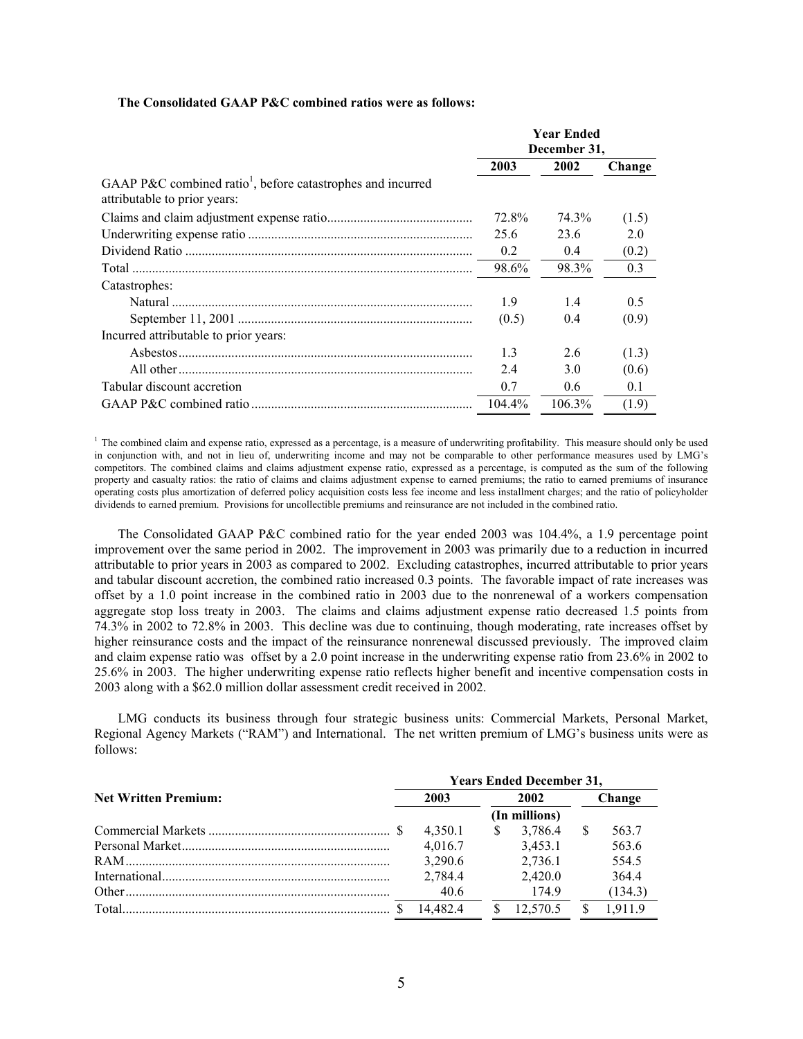#### **The Consolidated GAAP P&C combined ratios were as follows:**

|                                                                                                         | <b>Year Ended</b><br>December 31, |               |        |
|---------------------------------------------------------------------------------------------------------|-----------------------------------|---------------|--------|
|                                                                                                         |                                   |               |        |
|                                                                                                         | 2003                              | 2002          | Change |
| GAAP P&C combined ratio <sup>1</sup> , before catastrophes and incurred<br>attributable to prior years: |                                   |               |        |
|                                                                                                         | 72.8%                             | 74.3%         | (1.5)  |
|                                                                                                         | 25.6                              | 23.6          | 2.0    |
|                                                                                                         | 0.2                               | 0.4           | (0.2)  |
|                                                                                                         | 98.6%                             | 98.3%         | 0.3    |
| Catastrophes:                                                                                           |                                   |               |        |
|                                                                                                         | 1.9                               | 1.4           | 0.5    |
|                                                                                                         | (0.5)                             | 0.4           | (0.9)  |
| Incurred attributable to prior years:                                                                   |                                   |               |        |
|                                                                                                         | 1.3                               | 2.6           | (1.3)  |
|                                                                                                         | 2.4                               | 3.0           | (0.6)  |
| Tabular discount accretion                                                                              | 0.7                               | $0.6^{\circ}$ | 0.1    |
|                                                                                                         | 104.4%                            | 106.3%        | (1.9)  |

<sup>1</sup> The combined claim and expense ratio, expressed as a percentage, is a measure of underwriting profitability. This measure should only be used in conjunction with, and not in lieu of, underwriting income and may not be comparable to other performance measures used by LMG's competitors. The combined claims and claims adjustment expense ratio, expressed as a percentage, is computed as the sum of the following property and casualty ratios: the ratio of claims and claims adjustment expense to earned premiums; the ratio to earned premiums of insurance operating costs plus amortization of deferred policy acquisition costs less fee income and less installment charges; and the ratio of policyholder dividends to earned premium. Provisions for uncollectible premiums and reinsurance are not included in the combined ratio.

The Consolidated GAAP P&C combined ratio for the year ended 2003 was 104.4%, a 1.9 percentage point improvement over the same period in 2002. The improvement in 2003 was primarily due to a reduction in incurred attributable to prior years in 2003 as compared to 2002. Excluding catastrophes, incurred attributable to prior years and tabular discount accretion, the combined ratio increased 0.3 points. The favorable impact of rate increases was offset by a 1.0 point increase in the combined ratio in 2003 due to the nonrenewal of a workers compensation aggregate stop loss treaty in 2003. The claims and claims adjustment expense ratio decreased 1.5 points from 74.3% in 2002 to 72.8% in 2003. This decline was due to continuing, though moderating, rate increases offset by higher reinsurance costs and the impact of the reinsurance nonrenewal discussed previously. The improved claim and claim expense ratio was offset by a 2.0 point increase in the underwriting expense ratio from 23.6% in 2002 to 25.6% in 2003. The higher underwriting expense ratio reflects higher benefit and incentive compensation costs in 2003 along with a \$62.0 million dollar assessment credit received in 2002.

LMG conducts its business through four strategic business units: Commercial Markets, Personal Market, Regional Agency Markets ("RAM") and International. The net written premium of LMG's business units were as follows:

|                             | <b>Years Ended December 31,</b> |          |      |          |        |         |
|-----------------------------|---------------------------------|----------|------|----------|--------|---------|
| <b>Net Written Premium:</b> | 2003                            |          | 2002 |          | Change |         |
|                             | (In millions)                   |          |      |          |        |         |
|                             |                                 | 4.350.1  | S    | 3.786.4  |        | 563.7   |
|                             |                                 | 4.016.7  |      | 3.453.1  |        | 563.6   |
|                             |                                 | 3,290.6  |      | 2.736.1  |        | 554.5   |
|                             |                                 | 2,784.4  |      | 2.420.0  |        | 364.4   |
| Other                       |                                 | 40.6     |      | 174.9    |        | (134.3) |
|                             |                                 | 14,482.4 |      | 12.570.5 |        | 19119   |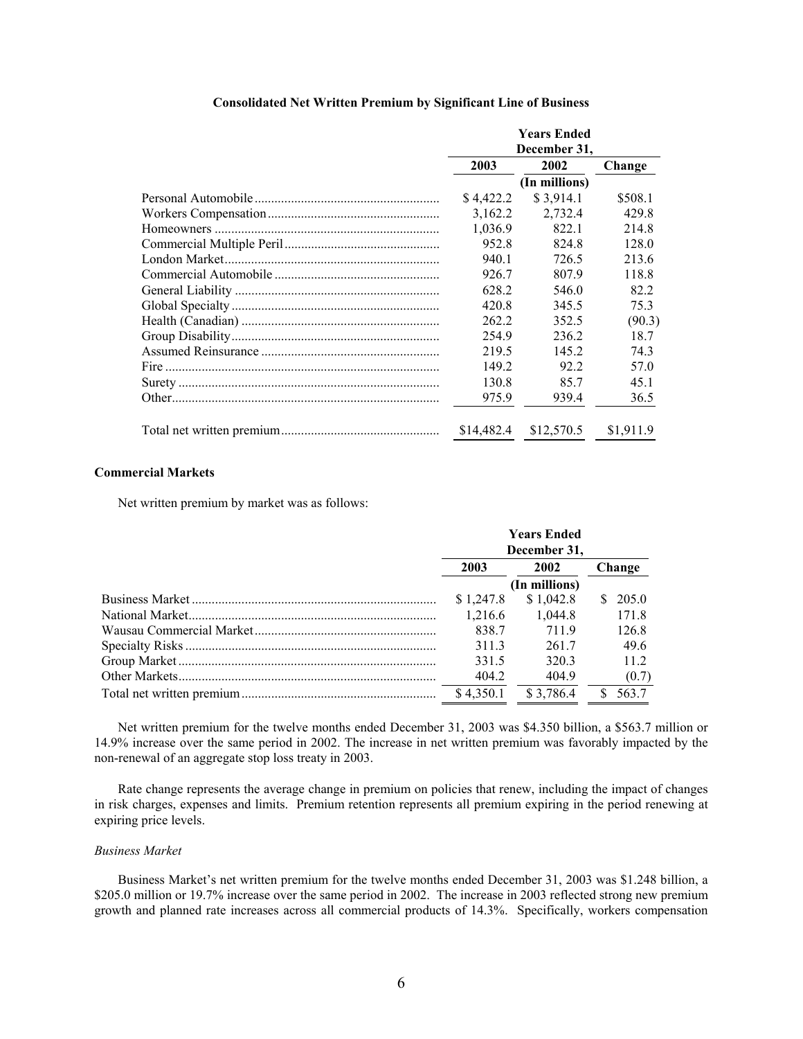|  | <b>Years Ended</b><br>December 31, |               |           |  |
|--|------------------------------------|---------------|-----------|--|
|  |                                    |               |           |  |
|  | 2002<br>2003                       |               | Change    |  |
|  |                                    | (In millions) |           |  |
|  | \$4,422.2                          | \$3,914.1     | \$508.1   |  |
|  | 3,162.2                            | 2,732.4       | 429.8     |  |
|  | 1,036.9                            | 822.1         | 214.8     |  |
|  | 952.8                              | 824.8         | 128.0     |  |
|  | 940.1                              | 726.5         | 213.6     |  |
|  | 926.7                              | 807.9         | 118.8     |  |
|  | 628.2                              | 546.0         | 82.2      |  |
|  | 420.8                              | 345.5         | 75.3      |  |
|  | 262.2                              | 352.5         | (90.3)    |  |
|  | 254.9                              | 236.2         | 18.7      |  |
|  | 219.5                              | 145.2         | 74.3      |  |
|  | 149.2                              | 92.2          | 57.0      |  |
|  | 130.8                              | 85.7          | 45.1      |  |
|  | 975.9                              | 939.4         | 36.5      |  |
|  | \$14,482.4                         | \$12,570.5    | \$1.911.9 |  |

## **Commercial Markets**

Net written premium by market was as follows:

| <b>Years Ended</b><br>December 31, |               |  |        |
|------------------------------------|---------------|--|--------|
| 2003                               | 2002          |  | Change |
|                                    | (In millions) |  |        |
| \$1,247.8                          | \$1,042.8     |  | 205.0  |
| 1.216.6                            | 1.044.8       |  | 171.8  |
| 838.7                              | 7119          |  | 126.8  |
| 311.3                              | 2617          |  | 49.6   |
| 331.5                              | 320.3         |  | 11.2   |
| 404.2                              | 404.9         |  | (0.7)  |
| \$4.350.1                          | \$3.786.4     |  | 563.7  |

Net written premium for the twelve months ended December 31, 2003 was \$4.350 billion, a \$563.7 million or 14.9% increase over the same period in 2002. The increase in net written premium was favorably impacted by the non-renewal of an aggregate stop loss treaty in 2003.

Rate change represents the average change in premium on policies that renew, including the impact of changes in risk charges, expenses and limits. Premium retention represents all premium expiring in the period renewing at expiring price levels.

## *Business Market*

Business Market's net written premium for the twelve months ended December 31, 2003 was \$1.248 billion, a \$205.0 million or 19.7% increase over the same period in 2002. The increase in 2003 reflected strong new premium growth and planned rate increases across all commercial products of 14.3%. Specifically, workers compensation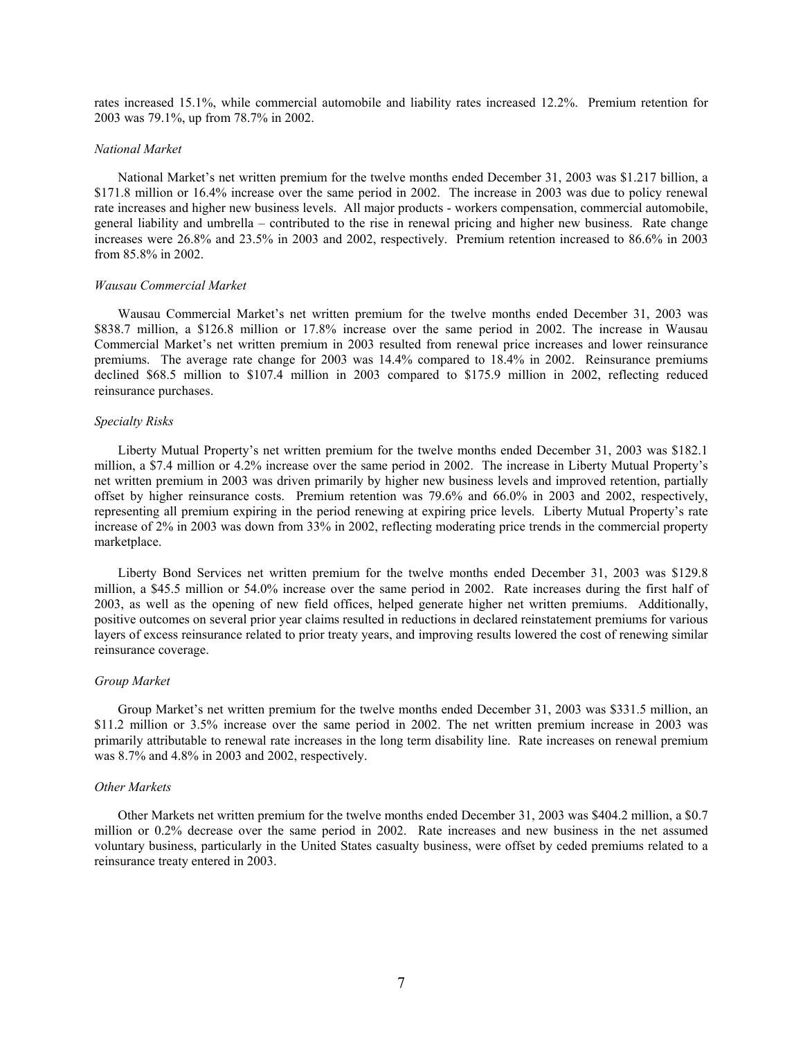rates increased 15.1%, while commercial automobile and liability rates increased 12.2%. Premium retention for 2003 was 79.1%, up from 78.7% in 2002.

#### *National Market*

National Market's net written premium for the twelve months ended December 31, 2003 was \$1.217 billion, a \$171.8 million or 16.4% increase over the same period in 2002. The increase in 2003 was due to policy renewal rate increases and higher new business levels. All major products - workers compensation, commercial automobile, general liability and umbrella – contributed to the rise in renewal pricing and higher new business. Rate change increases were 26.8% and 23.5% in 2003 and 2002, respectively. Premium retention increased to 86.6% in 2003 from 85.8% in 2002.

#### *Wausau Commercial Market*

Wausau Commercial Market's net written premium for the twelve months ended December 31, 2003 was \$838.7 million, a \$126.8 million or 17.8% increase over the same period in 2002. The increase in Wausau Commercial Market's net written premium in 2003 resulted from renewal price increases and lower reinsurance premiums. The average rate change for 2003 was 14.4% compared to 18.4% in 2002. Reinsurance premiums declined \$68.5 million to \$107.4 million in 2003 compared to \$175.9 million in 2002, reflecting reduced reinsurance purchases.

#### *Specialty Risks*

Liberty Mutual Property's net written premium for the twelve months ended December 31, 2003 was \$182.1 million, a \$7.4 million or 4.2% increase over the same period in 2002. The increase in Liberty Mutual Property's net written premium in 2003 was driven primarily by higher new business levels and improved retention, partially offset by higher reinsurance costs. Premium retention was 79.6% and 66.0% in 2003 and 2002, respectively, representing all premium expiring in the period renewing at expiring price levels. Liberty Mutual Property's rate increase of 2% in 2003 was down from 33% in 2002, reflecting moderating price trends in the commercial property marketplace.

Liberty Bond Services net written premium for the twelve months ended December 31, 2003 was \$129.8 million, a \$45.5 million or 54.0% increase over the same period in 2002. Rate increases during the first half of 2003, as well as the opening of new field offices, helped generate higher net written premiums. Additionally, positive outcomes on several prior year claims resulted in reductions in declared reinstatement premiums for various layers of excess reinsurance related to prior treaty years, and improving results lowered the cost of renewing similar reinsurance coverage.

#### *Group Market*

Group Market's net written premium for the twelve months ended December 31, 2003 was \$331.5 million, an \$11.2 million or 3.5% increase over the same period in 2002. The net written premium increase in 2003 was primarily attributable to renewal rate increases in the long term disability line. Rate increases on renewal premium was 8.7% and 4.8% in 2003 and 2002, respectively.

## *Other Markets*

Other Markets net written premium for the twelve months ended December 31, 2003 was \$404.2 million, a \$0.7 million or 0.2% decrease over the same period in 2002. Rate increases and new business in the net assumed voluntary business, particularly in the United States casualty business, were offset by ceded premiums related to a reinsurance treaty entered in 2003.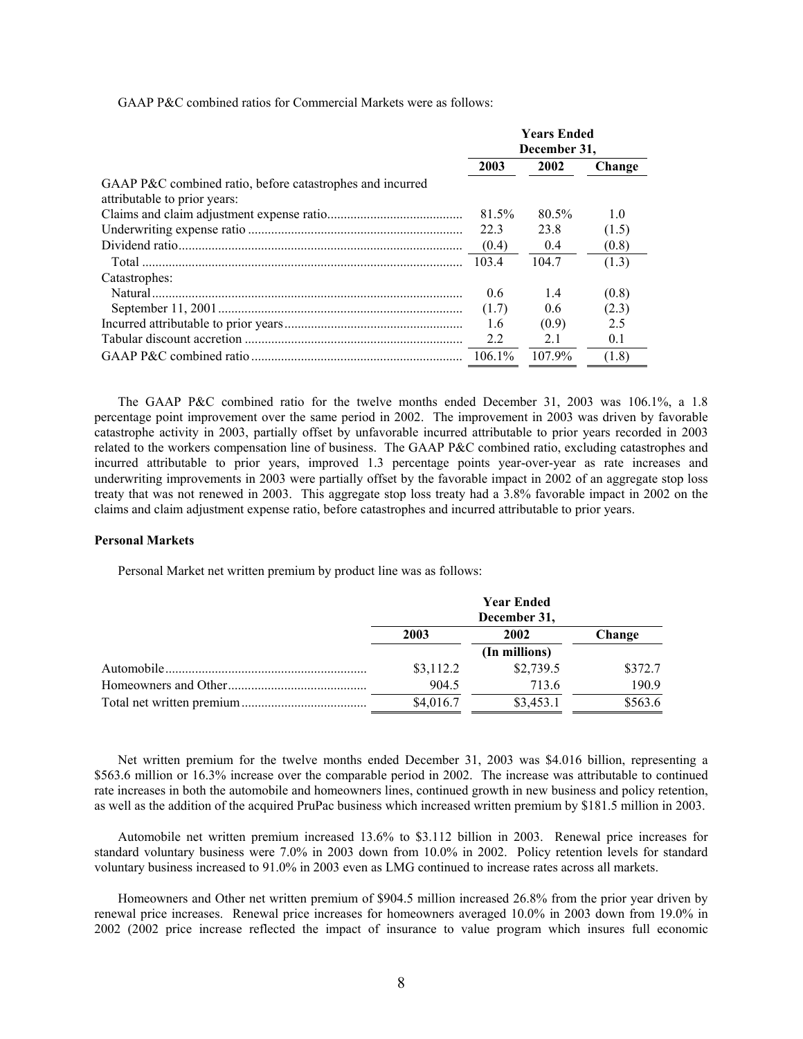GAAP P&C combined ratios for Commercial Markets were as follows:

|                                                                                           | <b>Years Ended</b><br>December 31, |        |        |
|-------------------------------------------------------------------------------------------|------------------------------------|--------|--------|
|                                                                                           |                                    |        |        |
|                                                                                           | 2003                               | 2002   | Change |
| GAAP P&C combined ratio, before catastrophes and incurred<br>attributable to prior years: |                                    |        |        |
|                                                                                           | 81.5%                              | 80.5%  | 1.0    |
|                                                                                           | 22.3                               | 23.8   | (1.5)  |
|                                                                                           | (0.4)                              | 0.4    | (0.8)  |
|                                                                                           | 103.4                              | 104.7  | (1.3)  |
| Catastrophes:                                                                             |                                    |        |        |
|                                                                                           | 0.6                                | 14     | (0.8)  |
|                                                                                           | (1.7)                              | 0.6    | (2.3)  |
|                                                                                           | 1.6                                | (0.9)  | 2.5    |
|                                                                                           | 2.2                                | 2.1    | 0.1    |
|                                                                                           | 106.1%                             | 107.9% | (1.8)  |

The GAAP P&C combined ratio for the twelve months ended December 31, 2003 was 106.1%, a 1.8 percentage point improvement over the same period in 2002. The improvement in 2003 was driven by favorable catastrophe activity in 2003, partially offset by unfavorable incurred attributable to prior years recorded in 2003 related to the workers compensation line of business. The GAAP P&C combined ratio, excluding catastrophes and incurred attributable to prior years, improved 1.3 percentage points year-over-year as rate increases and underwriting improvements in 2003 were partially offset by the favorable impact in 2002 of an aggregate stop loss treaty that was not renewed in 2003. This aggregate stop loss treaty had a 3.8% favorable impact in 2002 on the claims and claim adjustment expense ratio, before catastrophes and incurred attributable to prior years.

## **Personal Markets**

Personal Market net written premium by product line was as follows:

| <b>Year Ended</b><br>December 31, |               |         |  |
|-----------------------------------|---------------|---------|--|
| 2003                              | 2002          | Change  |  |
|                                   | (In millions) |         |  |
| \$3,112.2                         | \$2,739.5     | \$372.7 |  |
| 904.5                             | 713.6         | 190.9   |  |
| \$4,016.7                         | \$3,453.1     | \$563.6 |  |

Net written premium for the twelve months ended December 31, 2003 was \$4.016 billion, representing a \$563.6 million or 16.3% increase over the comparable period in 2002. The increase was attributable to continued rate increases in both the automobile and homeowners lines, continued growth in new business and policy retention, as well as the addition of the acquired PruPac business which increased written premium by \$181.5 million in 2003.

Automobile net written premium increased 13.6% to \$3.112 billion in 2003. Renewal price increases for standard voluntary business were 7.0% in 2003 down from 10.0% in 2002. Policy retention levels for standard voluntary business increased to 91.0% in 2003 even as LMG continued to increase rates across all markets.

Homeowners and Other net written premium of \$904.5 million increased 26.8% from the prior year driven by renewal price increases. Renewal price increases for homeowners averaged 10.0% in 2003 down from 19.0% in 2002 (2002 price increase reflected the impact of insurance to value program which insures full economic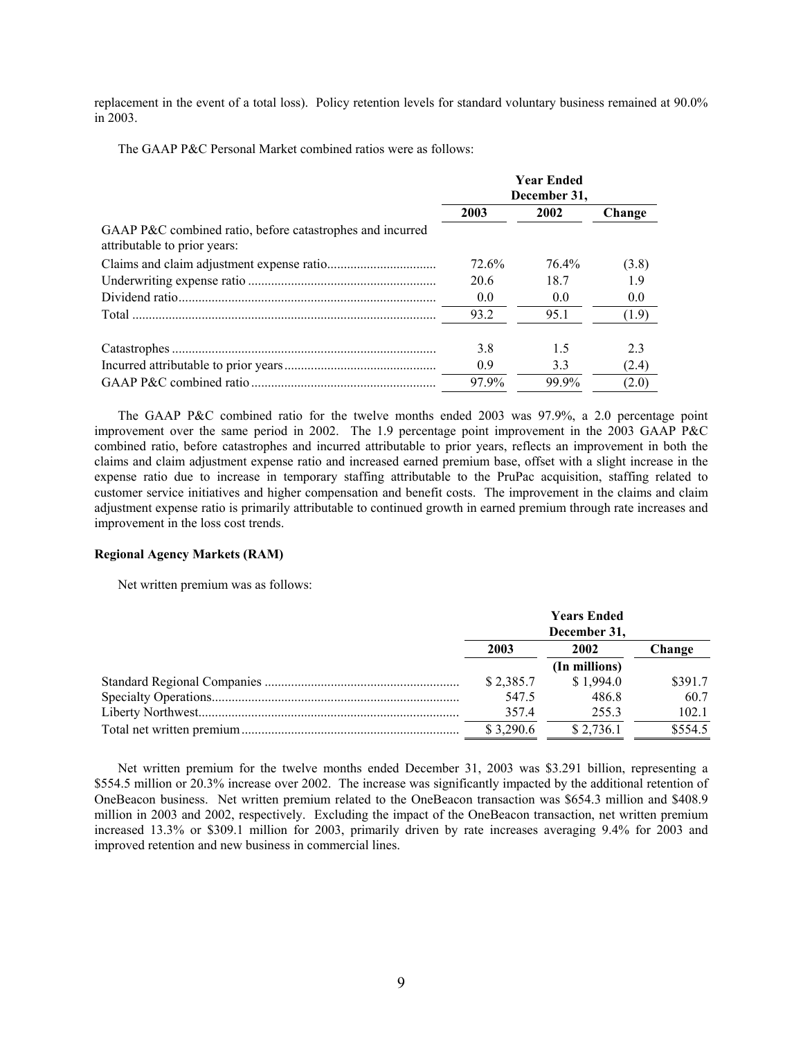replacement in the event of a total loss). Policy retention levels for standard voluntary business remained at 90.0% in 2003.

The GAAP P&C Personal Market combined ratios were as follows:

|                                                                                           | <b>Year Ended</b><br>December 31, |       |        |  |
|-------------------------------------------------------------------------------------------|-----------------------------------|-------|--------|--|
|                                                                                           | 2003                              | 2002  | Change |  |
| GAAP P&C combined ratio, before catastrophes and incurred<br>attributable to prior years: |                                   |       |        |  |
|                                                                                           | 72.6%                             | 76.4% | (3.8)  |  |
|                                                                                           | 20.6                              | 18.7  | 19     |  |
|                                                                                           | 0.0                               | 0.0   | 0.0    |  |
|                                                                                           | 93.2                              | 95.1  | (1.9)  |  |
|                                                                                           | 3.8                               | 1.5   | 2.3    |  |
|                                                                                           | 0.9                               | 3.3   | (2.4)  |  |
|                                                                                           | 97.9%                             | 99.9% | (2.0)  |  |

The GAAP P&C combined ratio for the twelve months ended 2003 was 97.9%, a 2.0 percentage point improvement over the same period in 2002. The 1.9 percentage point improvement in the 2003 GAAP P&C combined ratio, before catastrophes and incurred attributable to prior years, reflects an improvement in both the claims and claim adjustment expense ratio and increased earned premium base, offset with a slight increase in the expense ratio due to increase in temporary staffing attributable to the PruPac acquisition, staffing related to customer service initiatives and higher compensation and benefit costs. The improvement in the claims and claim adjustment expense ratio is primarily attributable to continued growth in earned premium through rate increases and improvement in the loss cost trends.

## **Regional Agency Markets (RAM)**

Net written premium was as follows:

|  | <b>Years Ended</b><br>December 31, |               |         |        |
|--|------------------------------------|---------------|---------|--------|
|  | 2003                               |               | 2002    | Change |
|  |                                    | (In millions) |         |        |
|  | \$2,385.7                          | \$1,994.0     | \$391.7 |        |
|  | 547.5                              | 486.8         | 60.7    |        |
|  | 357.4                              | 255.3         | 102.1   |        |
|  | \$3,290.6                          | \$2,736.1     | \$554.5 |        |

Net written premium for the twelve months ended December 31, 2003 was \$3.291 billion, representing a \$554.5 million or 20.3% increase over 2002. The increase was significantly impacted by the additional retention of OneBeacon business. Net written premium related to the OneBeacon transaction was \$654.3 million and \$408.9 million in 2003 and 2002, respectively. Excluding the impact of the OneBeacon transaction, net written premium increased 13.3% or \$309.1 million for 2003, primarily driven by rate increases averaging 9.4% for 2003 and improved retention and new business in commercial lines.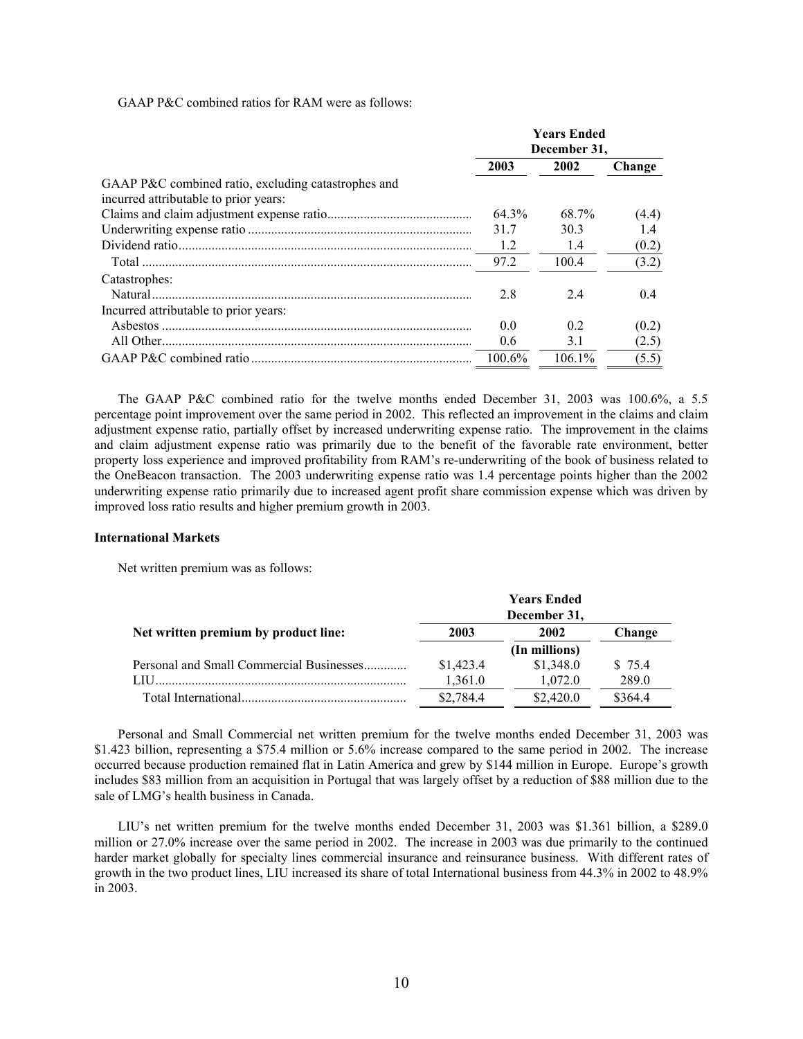GAAP P&C combined ratios for RAM were as follows:

|                                                     | <b>Years Ended</b><br>December 31, |           |        |
|-----------------------------------------------------|------------------------------------|-----------|--------|
|                                                     | 2003                               | 2002      | Change |
| GAAP P&C combined ratio, excluding catastrophes and |                                    |           |        |
| incurred attributable to prior years:               |                                    |           |        |
|                                                     | 64.3%                              | 68.7%     | (4.4)  |
|                                                     | 31.7                               | 303       | 14     |
|                                                     | 1.2                                | 1.4       | (0.2)  |
|                                                     | 97.2                               | 100.4     | (3.2)  |
| Catastrophes:                                       |                                    |           |        |
| Natural.                                            | 2.8                                | 24        | 0.4    |
| Incurred attributable to prior years:               |                                    |           |        |
|                                                     | 0.0                                | 02        | (0.2)  |
|                                                     | 0.6                                | 3.1       | (2.5)  |
|                                                     | $100.6\%$                          | $106.1\%$ | (5.5)  |

The GAAP P&C combined ratio for the twelve months ended December 31, 2003 was 100.6%, a 5.5 percentage point improvement over the same period in 2002. This reflected an improvement in the claims and claim adjustment expense ratio, partially offset by increased underwriting expense ratio. The improvement in the claims and claim adjustment expense ratio was primarily due to the benefit of the favorable rate environment, better property loss experience and improved profitability from RAM's re-underwriting of the book of business related to the OneBeacon transaction. The 2003 underwriting expense ratio was 1.4 percentage points higher than the 2002 underwriting expense ratio primarily due to increased agent profit share commission expense which was driven by improved loss ratio results and higher premium growth in 2003.

#### **International Markets**

Net written premium was as follows:

|                                          | <b>Years Ended</b><br>December 31, |               |         |  |
|------------------------------------------|------------------------------------|---------------|---------|--|
| Net written premium by product line:     | 2003                               | 2002          | Change  |  |
|                                          |                                    | (In millions) |         |  |
| Personal and Small Commercial Businesses | \$1,423.4                          | \$1,348.0     | \$75.4  |  |
| LIH                                      | 1,361.0                            | 1,072.0       | 289.0   |  |
|                                          | \$2,784.4                          | \$2,420.0     | \$364.4 |  |

Personal and Small Commercial net written premium for the twelve months ended December 31, 2003 was \$1.423 billion, representing a \$75.4 million or 5.6% increase compared to the same period in 2002. The increase occurred because production remained flat in Latin America and grew by \$144 million in Europe. Europe's growth includes \$83 million from an acquisition in Portugal that was largely offset by a reduction of \$88 million due to the sale of LMG's health business in Canada.

LIU's net written premium for the twelve months ended December 31, 2003 was \$1.361 billion, a \$289.0 million or 27.0% increase over the same period in 2002. The increase in 2003 was due primarily to the continued harder market globally for specialty lines commercial insurance and reinsurance business. With different rates of growth in the two product lines, LIU increased its share of total International business from 44.3% in 2002 to 48.9% in 2003.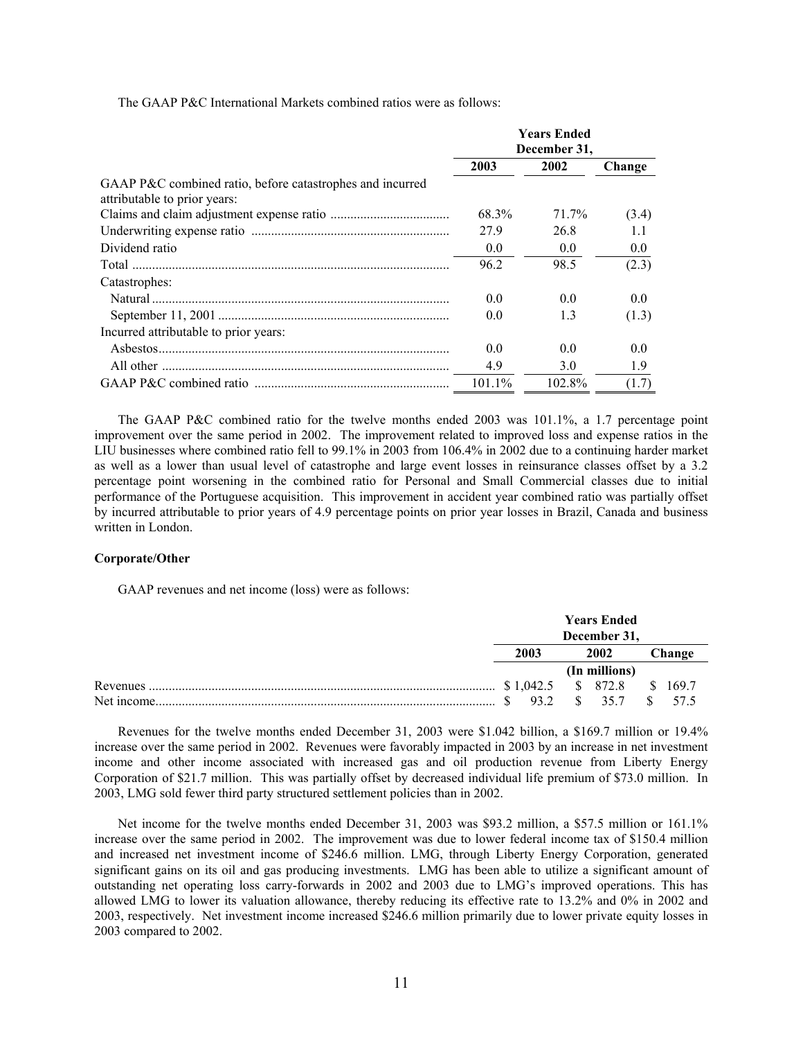The GAAP P&C International Markets combined ratios were as follows:

|                                                                                           | <b>Years Ended</b><br>December 31, |                |        |
|-------------------------------------------------------------------------------------------|------------------------------------|----------------|--------|
|                                                                                           |                                    |                |        |
|                                                                                           | 2003                               | 2002           | Change |
| GAAP P&C combined ratio, before catastrophes and incurred<br>attributable to prior years: |                                    |                |        |
|                                                                                           | 68.3%                              | 71.7%          | (3.4)  |
|                                                                                           | 279                                | 26.8           | 11     |
| Dividend ratio                                                                            | 0.0                                | 0.0            | 0.0    |
|                                                                                           | 96.2                               | 98.5           | (2.3)  |
| Catastrophes:                                                                             |                                    |                |        |
|                                                                                           | 0.0                                | 0 <sub>0</sub> | 0.0    |
|                                                                                           | 0.0                                | 1.3            | (1.3)  |
| Incurred attributable to prior years:                                                     |                                    |                |        |
|                                                                                           | 0.0                                | 0 <sub>0</sub> | 0.0    |
|                                                                                           | 4.9                                | 3.0            | 1.9    |
|                                                                                           | 101.1%                             | 102.8%         | (1.7)  |

The GAAP P&C combined ratio for the twelve months ended 2003 was 101.1%, a 1.7 percentage point improvement over the same period in 2002. The improvement related to improved loss and expense ratios in the LIU businesses where combined ratio fell to 99.1% in 2003 from 106.4% in 2002 due to a continuing harder market as well as a lower than usual level of catastrophe and large event losses in reinsurance classes offset by a 3.2 percentage point worsening in the combined ratio for Personal and Small Commercial classes due to initial performance of the Portuguese acquisition. This improvement in accident year combined ratio was partially offset by incurred attributable to prior years of 4.9 percentage points on prior year losses in Brazil, Canada and business written in London.

#### **Corporate/Other**

GAAP revenues and net income (loss) were as follows:

|            | <b>Years Ended</b><br>December 31, |  |          |  |         |
|------------|------------------------------------|--|----------|--|---------|
|            | 2003<br>2002                       |  | Change   |  |         |
|            | (In millions)                      |  |          |  |         |
| Revenues.  | \$1,042.5                          |  | \$ 872.8 |  | \$169.7 |
| Net income | 93.2                               |  | 357      |  | 57.5    |

Revenues for the twelve months ended December 31, 2003 were \$1.042 billion, a \$169.7 million or 19.4% increase over the same period in 2002. Revenues were favorably impacted in 2003 by an increase in net investment income and other income associated with increased gas and oil production revenue from Liberty Energy Corporation of \$21.7 million. This was partially offset by decreased individual life premium of \$73.0 million. In 2003, LMG sold fewer third party structured settlement policies than in 2002.

Net income for the twelve months ended December 31, 2003 was \$93.2 million, a \$57.5 million or 161.1% increase over the same period in 2002. The improvement was due to lower federal income tax of \$150.4 million and increased net investment income of \$246.6 million. LMG, through Liberty Energy Corporation, generated significant gains on its oil and gas producing investments. LMG has been able to utilize a significant amount of outstanding net operating loss carry-forwards in 2002 and 2003 due to LMG's improved operations. This has allowed LMG to lower its valuation allowance, thereby reducing its effective rate to 13.2% and 0% in 2002 and 2003, respectively. Net investment income increased \$246.6 million primarily due to lower private equity losses in 2003 compared to 2002.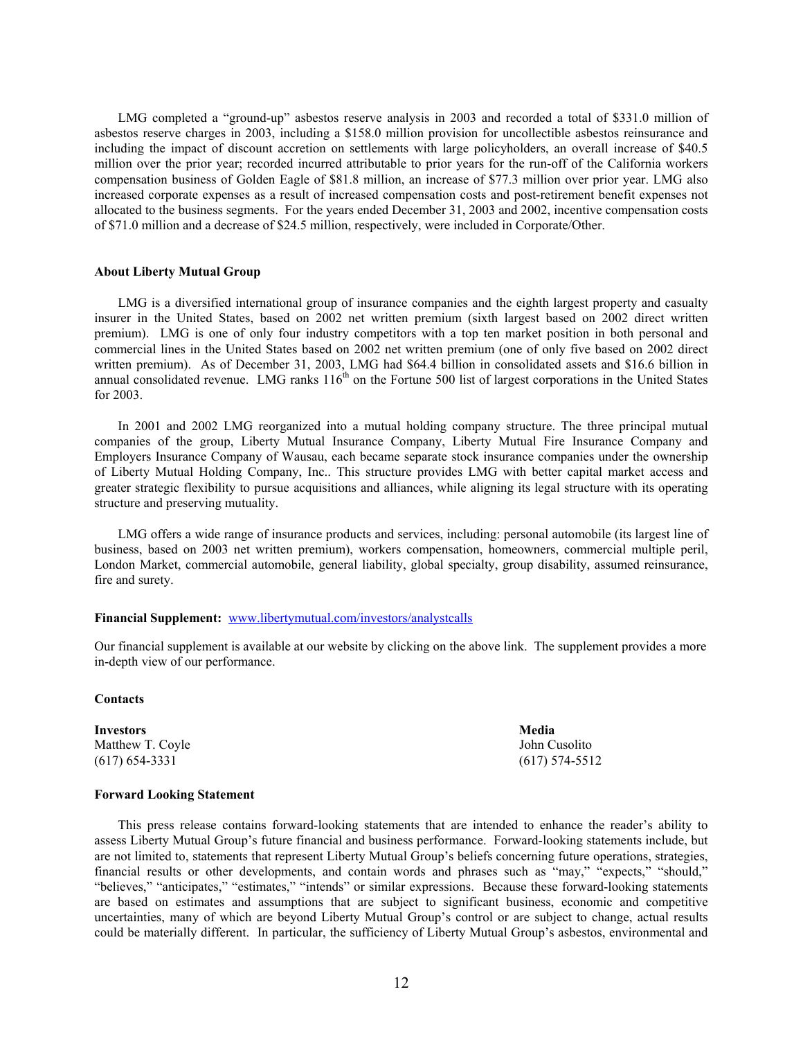LMG completed a "ground-up" asbestos reserve analysis in 2003 and recorded a total of \$331.0 million of asbestos reserve charges in 2003, including a \$158.0 million provision for uncollectible asbestos reinsurance and including the impact of discount accretion on settlements with large policyholders, an overall increase of \$40.5 million over the prior year; recorded incurred attributable to prior years for the run-off of the California workers compensation business of Golden Eagle of \$81.8 million, an increase of \$77.3 million over prior year. LMG also increased corporate expenses as a result of increased compensation costs and post-retirement benefit expenses not allocated to the business segments. For the years ended December 31, 2003 and 2002, incentive compensation costs of \$71.0 million and a decrease of \$24.5 million, respectively, were included in Corporate/Other.

#### **About Liberty Mutual Group**

LMG is a diversified international group of insurance companies and the eighth largest property and casualty insurer in the United States, based on 2002 net written premium (sixth largest based on 2002 direct written premium). LMG is one of only four industry competitors with a top ten market position in both personal and commercial lines in the United States based on 2002 net written premium (one of only five based on 2002 direct written premium). As of December 31, 2003, LMG had \$64.4 billion in consolidated assets and \$16.6 billion in annual consolidated revenue. LMG ranks  $116<sup>th</sup>$  on the Fortune 500 list of largest corporations in the United States for 2003.

In 2001 and 2002 LMG reorganized into a mutual holding company structure. The three principal mutual companies of the group, Liberty Mutual Insurance Company, Liberty Mutual Fire Insurance Company and Employers Insurance Company of Wausau, each became separate stock insurance companies under the ownership of Liberty Mutual Holding Company, Inc.. This structure provides LMG with better capital market access and greater strategic flexibility to pursue acquisitions and alliances, while aligning its legal structure with its operating structure and preserving mutuality.

LMG offers a wide range of insurance products and services, including: personal automobile (its largest line of business, based on 2003 net written premium), workers compensation, homeowners, commercial multiple peril, London Market, commercial automobile, general liability, global specialty, group disability, assumed reinsurance, fire and surety.

## **Financial Supplement:** www.libertymutual.com/investors/analystcalls

Our financial supplement is available at our website by clicking on the above link. The supplement provides a more in-depth view of our performance.

## **Contacts**

**Investors** Media Matthew T. Coyle John Cusolito (617) 654-3331 (617) 574-5512

## **Forward Looking Statement**

This press release contains forward-looking statements that are intended to enhance the reader's ability to assess Liberty Mutual Group's future financial and business performance. Forward-looking statements include, but are not limited to, statements that represent Liberty Mutual Group's beliefs concerning future operations, strategies, financial results or other developments, and contain words and phrases such as "may," "expects," "should," "believes," "anticipates," "estimates," "intends" or similar expressions. Because these forward-looking statements are based on estimates and assumptions that are subject to significant business, economic and competitive uncertainties, many of which are beyond Liberty Mutual Group's control or are subject to change, actual results could be materially different. In particular, the sufficiency of Liberty Mutual Group's asbestos, environmental and